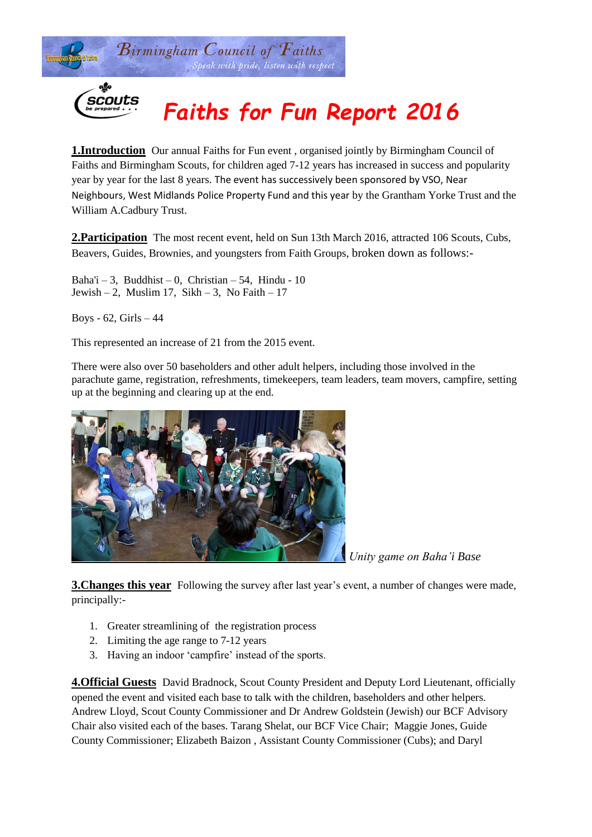

# scouts

# *Faiths for Fun Report 2016*

**1.Introduction** Our annual Faiths for Fun event, organised jointly by Birmingham Council of Faiths and Birmingham Scouts, for children aged 7-12 years has increased in success and popularity year by year for the last 8 years. The event has successively been sponsored by VSO, Near Neighbours, West Midlands Police Property Fund and this year by the Grantham Yorke Trust and the William A.Cadbury Trust.

**2.Participation** The most recent event, held on Sun 13th March 2016, attracted 106 Scouts, Cubs, Beavers, Guides, Brownies, and youngsters from Faith Groups, broken down as follows:-

Baha'i – 3, Buddhist – 0, Christian – 54, Hindu - 10 Jewish – 2, Muslim 17, Sikh – 3, No Faith – 17

Boys -  $62$ , Girls  $-44$ 

This represented an increase of 21 from the 2015 event.

There were also over 50 baseholders and other adult helpers, including those involved in the parachute game, registration, refreshments, timekeepers, team leaders, team movers, campfire, setting up at the beginning and clearing up at the end.



*Unity game on Baha'i Base*

**3. Changes this year** Following the survey after last year's event, a number of changes were made, principally:-

- 1. Greater streamlining of the registration process
- 2. Limiting the age range to 7-12 years
- 3. Having an indoor 'campfire' instead of the sports.

**4.Official Guests** David Bradnock, Scout County President and Deputy Lord Lieutenant, officially opened the event and visited each base to talk with the children, baseholders and other helpers. Andrew Lloyd, Scout County Commissioner and Dr Andrew Goldstein (Jewish) our BCF Advisory Chair also visited each of the bases. Tarang Shelat, our BCF Vice Chair; Maggie Jones, Guide County Commissioner; Elizabeth Baizon , Assistant County Commissioner (Cubs); and Daryl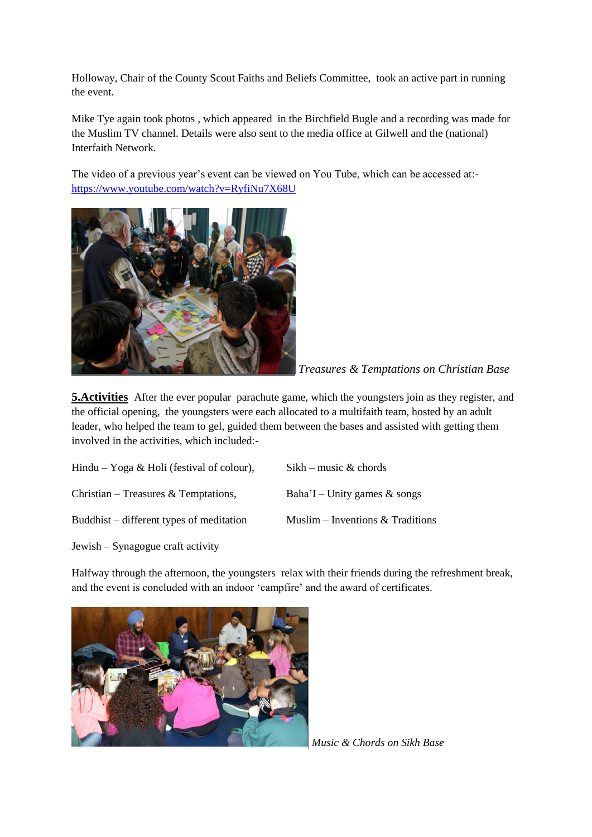Holloway, Chair of the County Scout Faiths and Beliefs Committee, took an active part in running the event.

Mike Tye again took photos , which appeared in the Birchfield Bugle and a recording was made for the Muslim TV channel. Details were also sent to the media office at Gilwell and the (national) Interfaith Network.

The video of a previous year's event can be viewed on You Tube, which can be accessed at: <https://www.youtube.com/watch?v=RyfiNu7X68U>



*Treasures & Temptations on Christian Base*

**5. Activities** After the ever popular parachute game, which the youngsters join as they register, and the official opening, the youngsters were each allocated to a multifaith team, hosted by an adult leader, who helped the team to gel, guided them between the bases and assisted with getting them involved in the activities, which included:-

| Hindu – Yoga & Holi (festival of colour), | $Sikh - music & chords$            |
|-------------------------------------------|------------------------------------|
| Christian – Treasures & Temptations,      | Baha'I – Unity games $\&$ songs    |
| Buddhist – different types of meditation  | Muslim – Inventions $&$ Traditions |
|                                           |                                    |

Jewish – Synagogue craft activity

Halfway through the afternoon, the youngsters relax with their friends during the refreshment break, and the event is concluded with an indoor 'campfire' and the award of certificates.



Music & Chords on Sikh Base